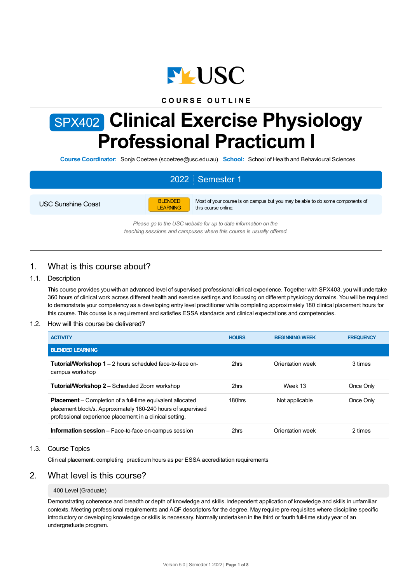

### **C O U R S E O U T L I N E**

# SPX402 **Clinical Exercise Physiology Professional Practicum I**

**Course Coordinator:** Sonja Coetzee (scoetzee@usc.edu.au) **School:** School of Health and Behavioural Sciences

# 2022 Semester 1

USC Sunshine Coast



Most of your course is on campus but you may be able to do some components of this course online.

*Please go to the USC website for up to date information on the teaching sessions and campuses where this course is usually offered.*

### 1. What is this course about?

### 1.1. Description

This course provides you with an advanced level of supervised professional clinical experience. Together with SPX403, you will undertake 360 hours of clinical work across different health and exercise settings and focussing on different physiology domains. You will be required to demonstrate your competency as a developing entry level practitioner while completing approximately 180 clinical placement hours for this course. This course is a requirement and satisfies ESSA standards and clinical expectations and competencies.

### 1.2. How will this course be delivered?

| <b>ACTIVITY</b>                                                                                                                                                                               | <b>HOURS</b>       | <b>BEGINNING WEEK</b> | <b>FREQUENCY</b> |
|-----------------------------------------------------------------------------------------------------------------------------------------------------------------------------------------------|--------------------|-----------------------|------------------|
| <b>BLENDED LEARNING</b>                                                                                                                                                                       |                    |                       |                  |
| <b>Tutorial/Workshop 1</b> – 2 hours scheduled face-to-face on-<br>campus workshop                                                                                                            | 2hrs               | Orientation week      | 3 times          |
| <b>Tutorial/Workshop 2</b> – Scheduled Zoom workshop                                                                                                                                          | 2hrs               | Week 13               | Once Only        |
| <b>Placement</b> – Completion of a full-time equivalent allocated<br>placement block/s. Approximately 180-240 hours of supervised<br>professional experience placement in a clinical setting. | 180 <sub>hrs</sub> | Not applicable        | Once Only        |
| <b>Information session</b> – Face-to-face on-campus session                                                                                                                                   | 2hrs               | Orientation week      | 2 times          |

### 1.3. Course Topics

Clinical placement: completing practicum hours as per ESSA accreditation requirements

### 2. What level is this course?

### 400 Level (Graduate)

Demonstrating coherence and breadth or depth of knowledge and skills. Independent application of knowledge and skills in unfamiliar contexts. Meeting professional requirements and AQF descriptors for the degree. May require pre-requisites where discipline specific introductory or developing knowledge or skills is necessary. Normally undertaken in the third or fourth full-time study year of an undergraduate program.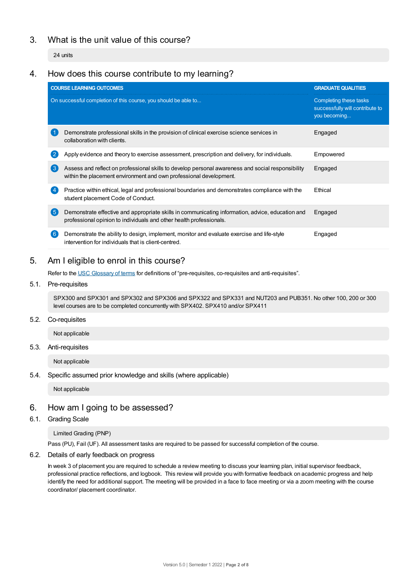# 3. What is the unit value of this course?

24 units

### 4. How does this course contribute to my learning?

|               | <b>COURSE LEARNING OUTCOMES</b>                                                                                                                                         | <b>GRADUATE QUALITIES</b>                                                 |  |
|---------------|-------------------------------------------------------------------------------------------------------------------------------------------------------------------------|---------------------------------------------------------------------------|--|
|               | On successful completion of this course, you should be able to                                                                                                          | Completing these tasks<br>successfully will contribute to<br>you becoming |  |
|               | Demonstrate professional skills in the provision of clinical exercise science services in<br>collaboration with clients.                                                | Engaged                                                                   |  |
|               | Apply evidence and theory to exercise assessment, prescription and delivery, for individuals.                                                                           | Empowered                                                                 |  |
| $\mathcal{A}$ | Assess and reflect on professional skills to develop personal awareness and social responsibility<br>within the placement environment and own professional development. | Engaged                                                                   |  |
|               | Practice within ethical, legal and professional boundaries and demonstrates compliance with the<br>student placement Code of Conduct.                                   | Ethical                                                                   |  |
| ( 5 )         | Demonstrate effective and appropriate skills in communicating information, advice, education and<br>professional opinion to individuals and other health professionals. | Engaged                                                                   |  |
|               | Demonstrate the ability to design, implement, monitor and evaluate exercise and life-style<br>intervention for individuals that is client-centred.                      | Engaged                                                                   |  |

# 5. Am Ieligible to enrol in this course?

Refer to the USC [Glossary](https://www.usc.edu.au/about/policies-and-procedures/glossary-of-terms-for-policy-and-procedures) of terms for definitions of "pre-requisites, co-requisites and anti-requisites".

### 5.1. Pre-requisites

SPX300 and SPX301 and SPX302 and SPX306 and SPX322 and SPX331 and NUT203 and PUB351. No other 100, 200 or 300 level courses are to be completed concurrently with SPX402. SPX410 and/or SPX411

### 5.2. Co-requisites

Not applicable

### 5.3. Anti-requisites

Not applicable

### 5.4. Specific assumed prior knowledge and skills (where applicable)

Not applicable

### 6. How am Igoing to be assessed?

### 6.1. Grading Scale

### Limited Grading (PNP)

Pass (PU), Fail (UF). All assessment tasks are required to be passed for successful completion of the course.

### 6.2. Details of early feedback on progress

In week 3 of placement you are required to schedule a review meeting to discuss your learning plan, initial supervisor feedback, professional practice reflections, and logbook. This review will provide you with formative feedback on academic progress and help identify the need for additional support. The meeting will be provided in a face to face meeting or via a zoom meeting with the course coordinator/ placement coordinator.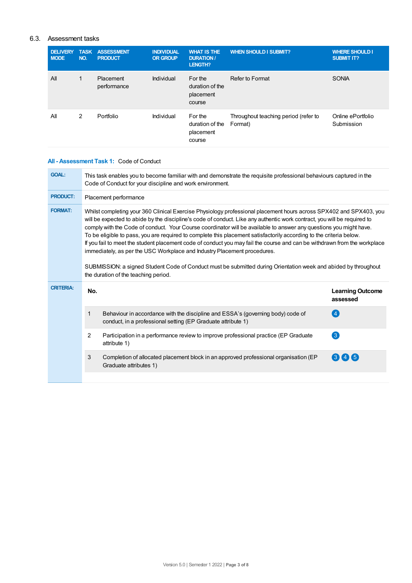### 6.3. Assessment tasks

| <b>DELIVERY</b><br><b>MODE</b> | <b>TASK</b><br>NO. | <b>ASSESSMENT</b><br><b>PRODUCT</b> | <b>INDIVIDUAL</b><br><b>OR GROUP</b> | <b>WHAT IS THE</b><br><b>DURATION /</b><br>LENGTH? | <b>WHEN SHOULD I SUBMIT?</b>                    | <b>WHERE SHOULD I</b><br><b>SUBMIT IT?</b> |
|--------------------------------|--------------------|-------------------------------------|--------------------------------------|----------------------------------------------------|-------------------------------------------------|--------------------------------------------|
| All                            | 1                  | Placement<br>performance            | Individual                           | For the<br>duration of the<br>placement<br>course  | Refer to Format                                 | SONIA                                      |
| All                            | 2                  | Portfolio                           | Individual                           | For the<br>duration of the<br>placement<br>course  | Throughout teaching period (refer to<br>Format) | Online ePortfolio<br>Submission            |

### **All - Assessment Task 1:** Code of Conduct

| <b>GOAL:</b>     | This task enables you to become familiar with and demonstrate the requisite professional behaviours captured in the<br>Code of Conduct for your discipline and work environment.                                                                                                                                                                                                                                                                                                                                                                                                                                                                                                                                                                                                                                                                                |                                                                                                                                                 |                                     |
|------------------|-----------------------------------------------------------------------------------------------------------------------------------------------------------------------------------------------------------------------------------------------------------------------------------------------------------------------------------------------------------------------------------------------------------------------------------------------------------------------------------------------------------------------------------------------------------------------------------------------------------------------------------------------------------------------------------------------------------------------------------------------------------------------------------------------------------------------------------------------------------------|-------------------------------------------------------------------------------------------------------------------------------------------------|-------------------------------------|
| <b>PRODUCT:</b>  |                                                                                                                                                                                                                                                                                                                                                                                                                                                                                                                                                                                                                                                                                                                                                                                                                                                                 | Placement performance                                                                                                                           |                                     |
| <b>FORMAT:</b>   | Whilst completing your 360 Clinical Exercise Physiology professional placement hours across SPX402 and SPX403, you<br>will be expected to abide by the discipline's code of conduct. Like any authentic work contract, you will be required to<br>comply with the Code of conduct. Your Course coordinator will be available to answer any questions you might have.<br>To be eligible to pass, you are required to complete this placement satisfactorily according to the criteria below.<br>If you fail to meet the student placement code of conduct you may fail the course and can be withdrawn from the workplace<br>immediately, as per the USC Workplace and Industry Placement procedures.<br>SUBMISSION: a signed Student Code of Conduct must be submitted during Orientation week and abided by throughout<br>the duration of the teaching period. |                                                                                                                                                 |                                     |
| <b>CRITERIA:</b> | No.                                                                                                                                                                                                                                                                                                                                                                                                                                                                                                                                                                                                                                                                                                                                                                                                                                                             |                                                                                                                                                 | <b>Learning Outcome</b><br>assessed |
|                  | 1                                                                                                                                                                                                                                                                                                                                                                                                                                                                                                                                                                                                                                                                                                                                                                                                                                                               | Behaviour in accordance with the discipline and ESSA's (governing body) code of<br>conduct, in a professional setting (EP Graduate attribute 1) | (4)                                 |
|                  | $\overline{2}$                                                                                                                                                                                                                                                                                                                                                                                                                                                                                                                                                                                                                                                                                                                                                                                                                                                  | Participation in a performance review to improve professional practice (EP Graduate)<br>attribute 1)                                            | $\left(3\right)$                    |
|                  | 3                                                                                                                                                                                                                                                                                                                                                                                                                                                                                                                                                                                                                                                                                                                                                                                                                                                               | Completion of allocated placement block in an approved professional organisation (EP<br>Graduate attributes 1)                                  | (3)(4)(5)                           |
|                  |                                                                                                                                                                                                                                                                                                                                                                                                                                                                                                                                                                                                                                                                                                                                                                                                                                                                 |                                                                                                                                                 |                                     |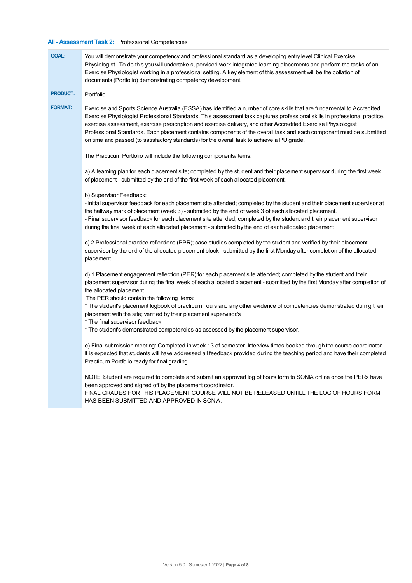### **All - Assessment Task 2:** Professional Competencies

| <b>GOAL:</b>    | You will demonstrate your competency and professional standard as a developing entry level Clinical Exercise<br>Physiologist. To do this you will undertake supervised work integrated learning placements and perform the tasks of an<br>Exercise Physiologist working in a professional setting. A key element of this assessment will be the collation of<br>documents (Portfolio) demonstrating competency development.                                                                                                                                                              |
|-----------------|------------------------------------------------------------------------------------------------------------------------------------------------------------------------------------------------------------------------------------------------------------------------------------------------------------------------------------------------------------------------------------------------------------------------------------------------------------------------------------------------------------------------------------------------------------------------------------------|
| <b>PRODUCT:</b> | Portfolio                                                                                                                                                                                                                                                                                                                                                                                                                                                                                                                                                                                |
| <b>FORMAT:</b>  | Exercise and Sports Science Australia (ESSA) has identified a number of core skills that are fundamental to Accredited<br>Exercise Physiologist Professional Standards. This assessment task captures professional skills in professional practice,<br>exercise assessment, exercise prescription and exercise delivery, and other Accredited Exercise Physiologist<br>Professional Standards. Each placement contains components of the overall task and each component must be submitted<br>on time and passed (to satisfactory standards) for the overall task to achieve a PU grade. |
|                 | The Practicum Portfolio will include the following components/items:                                                                                                                                                                                                                                                                                                                                                                                                                                                                                                                     |
|                 | a) A learning plan for each placement site; completed by the student and their placement supervisor during the first week<br>of placement - submitted by the end of the first week of each allocated placement.                                                                                                                                                                                                                                                                                                                                                                          |
|                 | b) Supervisor Feedback:<br>- Initial supervisor feedback for each placement site attended; completed by the student and their placement supervisor at<br>the halfway mark of placement (week 3) - submitted by the end of week 3 of each allocated placement.<br>- Final supervisor feedback for each placement site attended; completed by the student and their placement supervisor<br>during the final week of each allocated placement - submitted by the end of each allocated placement                                                                                           |
|                 | c) 2 Professional practice reflections (PPR); case studies completed by the student and verified by their placement<br>supervisor by the end of the allocated placement block - submitted by the first Monday after completion of the allocated<br>placement.                                                                                                                                                                                                                                                                                                                            |
|                 | d) 1 Placement engagement reflection (PER) for each placement site attended; completed by the student and their<br>placement supervisor during the final week of each allocated placement - submitted by the first Monday after completion of<br>the allocated placement.<br>The PER should contain the following items:                                                                                                                                                                                                                                                                 |
|                 | * The student's placement logbook of practicum hours and any other evidence of competencies demonstrated during their<br>placement with the site; verified by their placement supervisor/s<br>* The final supervisor feedback<br>* The student's demonstrated competencies as assessed by the placement supervisor.                                                                                                                                                                                                                                                                      |
|                 | e) Final submission meeting: Completed in week 13 of semester. Interview times booked through the course coordinator.<br>It is expected that students will have addressed all feedback provided during the teaching period and have their completed<br>Practicum Portfolio ready for final grading.                                                                                                                                                                                                                                                                                      |
|                 | NOTE: Student are required to complete and submit an approved log of hours form to SONIA online once the PERs have<br>been approved and signed off by the placement coordinator.<br>FINAL GRADES FOR THIS PLACEMENT COURSE WILL NOT BE RELEASED UNTILL THE LOG OF HOURS FORM<br>HAS BEEN SUBMITTED AND APPROVED IN SONIA.                                                                                                                                                                                                                                                                |
|                 |                                                                                                                                                                                                                                                                                                                                                                                                                                                                                                                                                                                          |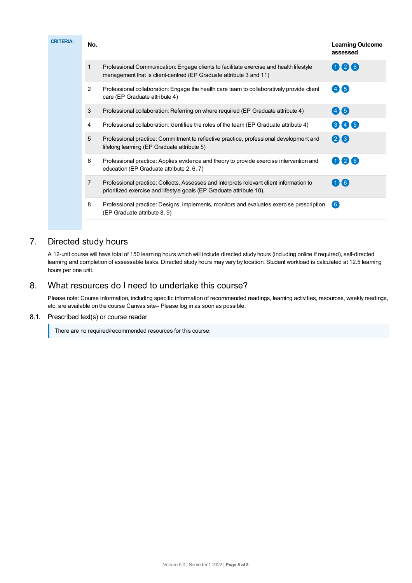| <b>CRITERIA:</b> | No. |                | <b>Learning Outcome</b><br>assessed                                                                                                                             |                 |
|------------------|-----|----------------|-----------------------------------------------------------------------------------------------------------------------------------------------------------------|-----------------|
|                  |     | 1              | Professional Communication: Engage clients to facilitate exercise and health lifestyle<br>management that is client-centred (EP Graduate attribute 3 and 11)    | 026             |
|                  |     | $\overline{2}$ | Professional collaboration: Engage the health care team to collaboratively provide client<br>care (EP Graduate attribute 4)                                     | 46              |
|                  |     | 3              | Professional collaboration: Referring on where required (EP Graduate attribute 4)                                                                               | 46              |
|                  |     | 4              | Professional collaboration: Identifies the roles of the team (EP Graduate attribute 4)                                                                          | 345             |
|                  |     | 5              | Professional practice: Commitment to reflective practice, professional development and<br>lifelong learning (EP Graduate attribute 5)                           | 28              |
|                  |     | 6              | Professional practice: Applies evidence and theory to provide exercise intervention and<br>education (EP Graduate attribute 2, 6, 7)                            | $\mathbf{0}$ 26 |
|                  |     | $\overline{7}$ | Professional practice: Collects, Assesses and interprets relevant client information to<br>prioritized exercise and lifestyle goals (EP Graduate attribute 10). | 16              |
|                  |     | 8              | Professional practice: Designs, implements, monitors and evaluates exercise prescription<br>(EP Graduate attribute 8, 9)                                        | 6               |
|                  |     |                |                                                                                                                                                                 |                 |

# 7. Directed study hours

A 12-unit course will have total of 150 learning hours which will include directed study hours (including online if required), self-directed learning and completion of assessable tasks. Directed study hours may vary by location. Student workload is calculated at 12.5 learning hours per one unit.

# 8. What resources do I need to undertake this course?

Please note: Course information, including specific information of recommended readings, learning activities, resources, weekly readings, etc. are available on the course Canvas site– Please log in as soon as possible.

### 8.1. Prescribed text(s) or course reader

There are no required/recommended resources for this course.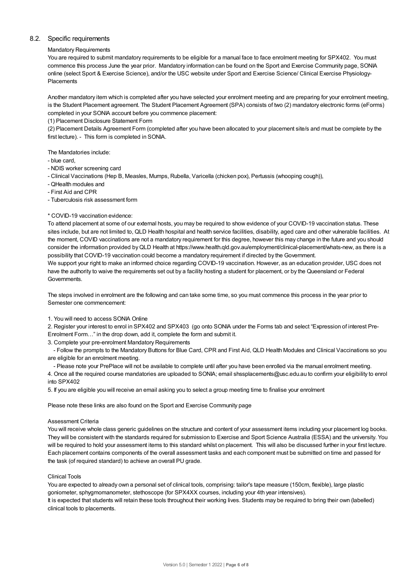### 8.2. Specific requirements

### Mandatory Requirements

You are required to submit mandatory requirements to be eligible for a manual face to face enrolment meeting for SPX402. You must commence this process June the year prior. Mandatory information can be found on the Sport and Exercise Community page, SONIA online (select Sport & Exercise Science), and/or the USC website under Sport and Exercise Science/ Clinical Exercise Physiology-Placements

Another mandatory item which is completed after you have selected your enrolment meeting and are preparing for your enrolment meeting, is the Student Placement agreement. The Student Placement Agreement (SPA) consists of two (2) mandatory electronic forms (eForms) completed in your SONIA account before you commence placement:

(1) Placement Disclosure Statement Form

(2) Placement Details Agreement Form (completed after you have been allocated to your placement site/s and must be complete by the first lecture). - This form is completed in SONIA.

The Mandatories include:

- blue card,
- NDIS worker screening card
- Clinical Vaccinations (Hep B, Measles, Mumps, Rubella, Varicella (chicken pox), Pertussis (whooping cough)),
- QHealth modules and
- First Aid and CPR

- Tuberculosis risk assessment form

#### \* COVID-19 vaccination evidence:

To attend placement at some of our external hosts, you may be required to show evidence of your COVID-19 vaccination status. These sites include, but are not limited to, QLD Health hospital and health service facilities, disability, aged care and other vulnerable facilities. At the moment, COVID vaccinations are not a mandatory requirement for this degree, however this may change in the future and you should consider the information provided byQLD Health at https://www.health.qld.gov.au/employment/clinical-placement/whats-new, as there is a possibility that COVID-19 vaccination could become a mandatory requirement if directed by the Government.

We support your right to make an informed choice regarding COVID-19 vaccination. However, as an education provider, USC does not have the authority to waive the requirements set out by a facility hosting a student for placement, or by the Queensland or Federal Governments.

The steps involved in enrolment are the following and can take some time, so you must commence this process in the year prior to Semester one commencement:

#### 1. You will need to access SONIA Online

2. Register your interest to enrol in SPX402 and SPX403 (go onto SONIA under the Forms tab and select "Expression of interest Pre-Enrolment Form…" in the drop down, add it, complete the form and submit it.

3. Complete your pre-enrolment Mandatory Requirements

- Follow the prompts to the Mandatory Buttons for Blue Card, CPR and First Aid, QLD Health Modules and Clinical Vaccinations so you are eligible for an enrolment meeting.

- Please note your PrePlace will not be available to complete until after you have been enrolled via the manual enrolment meeting. 4. Once all the required course mandatories are uploaded to SONIA; email shssplacements@usc.edu.au to confirm your eligibility to enrol

5. If you are eligible you will receive an email asking you to select a group meeting time to finalise your enrolment

Please note these links are also found on the Sport and Exercise Community page

#### Assessment Criteria

into SPX402

You will receive whole class generic guidelines on the structure and content of your assessment items including your placement log books. They will be consistent with the standards required for submission to Exercise and Sport Science Australia (ESSA) and the university. You will be required to hold your assessment items to this standard whilst on placement. This will also be discussed further in your first lecture. Each placement contains components of the overall assessment tasks and each component must be submitted on time and passed for the task (of required standard) to achieve an overall PU grade.

#### Clinical Tools

You are expected to already own a personal set of clinical tools, comprising: tailor's tape measure (150cm, flexible), large plastic goniometer, sphygmomanometer, stethoscope (for SPX4XX courses, including your 4th year intensives). It is expected that students will retain these tools throughout their working lives. Students may be required to bring their own (labelled) clinical tools to placements.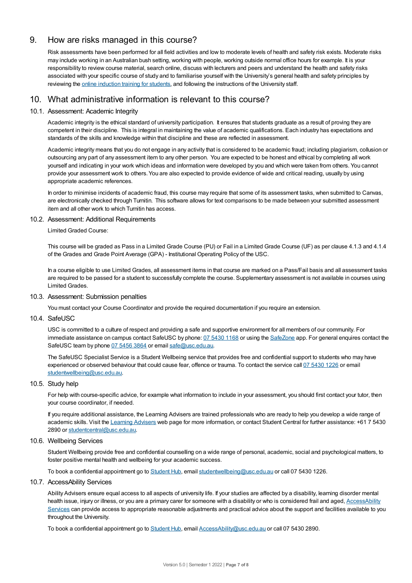### 9. How are risks managed in this course?

Risk assessments have been performed for all field activities and low to moderate levels of health and safety risk exists. Moderate risks may include working in an Australian bush setting, working with people, working outside normal office hours for example. It is your responsibility to review course material, search online, discuss with lecturers and peers and understand the health and safety risks associated with your specific course of study and to familiarise yourself with the University's general health and safety principles by reviewing the online [induction](https://online.usc.edu.au/webapps/blackboard/content/listContentEditable.jsp?content_id=_632657_1&course_id=_14432_1) training for students, and following the instructions of the University staff.

# 10. What administrative information is relevant to this course?

### 10.1. Assessment: Academic Integrity

Academic integrity is the ethical standard of university participation. It ensures that students graduate as a result of proving they are competent in their discipline. This is integral in maintaining the value of academic qualifications. Each industry has expectations and standards of the skills and knowledge within that discipline and these are reflected in assessment.

Academic integrity means that you do not engage in any activity that is considered to be academic fraud; including plagiarism, collusion or outsourcing any part of any assessment item to any other person. You are expected to be honest and ethical by completing all work yourself and indicating in your work which ideas and information were developed by you and which were taken from others. You cannot provide your assessment work to others.You are also expected to provide evidence of wide and critical reading, usually by using appropriate academic references.

In order to minimise incidents of academic fraud, this course may require that some of its assessment tasks, when submitted to Canvas, are electronically checked through Turnitin. This software allows for text comparisons to be made between your submitted assessment item and all other work to which Turnitin has access.

### 10.2. Assessment: Additional Requirements

Limited Graded Course:

This course will be graded as Pass in a Limited Grade Course (PU) or Fail in a Limited Grade Course (UF) as per clause 4.1.3 and 4.1.4 of the Grades and Grade Point Average (GPA) - Institutional Operating Policy of the USC.

In a course eligible to use Limited Grades, all assessment items in that course are marked on a Pass/Fail basis and all assessment tasks are required to be passed for a student to successfully complete the course. Supplementary assessment is not available in courses using Limited Grades.

### 10.3. Assessment: Submission penalties

You must contact your Course Coordinator and provide the required documentation if you require an extension.

10.4. SafeUSC

USC is committed to a culture of respect and providing a safe and supportive environment for all members of our community. For immediate assistance on campus contact SafeUSC by phone: 07 [5430](tel:07%205430%201168) 1168 or using the [SafeZone](https://www.safezoneapp.com) app. For general enquires contact the SafeUSC team by phone 07 [5456](tel:07%205456%203864) 3864 or email [safe@usc.edu.au](mailto:safe@usc.edu.au).

The SafeUSC Specialist Service is a Student Wellbeing service that provides free and confidential support to students who may have experienced or observed behaviour that could cause fear, offence or trauma. To contact the service call 07 [5430](tel:07%205430%201226) 1226 or email [studentwellbeing@usc.edu.au](mailto:studentwellbeing@usc.edu.au).

### 10.5. Study help

For help with course-specific advice, for example what information to include in your assessment, you should first contact your tutor, then your course coordinator, if needed.

If you require additional assistance, the Learning Advisers are trained professionals who are ready to help you develop a wide range of academic skills. Visit the Learning [Advisers](https://www.usc.edu.au/current-students/student-support/academic-and-study-support/learning-advisers) web page for more information, or contact Student Central for further assistance: +61 7 5430 2890 or [studentcentral@usc.edu.au](mailto:studentcentral@usc.edu.au).

### 10.6. Wellbeing Services

Student Wellbeing provide free and confidential counselling on a wide range of personal, academic, social and psychological matters, to foster positive mental health and wellbeing for your academic success.

To book a confidential appointment go to [Student](https://studenthub.usc.edu.au/) Hub, email [studentwellbeing@usc.edu.au](mailto:studentwellbeing@usc.edu.au) or call 07 5430 1226.

### 10.7. AccessAbility Services

Ability Advisers ensure equal access to all aspects of university life. If your studies are affected by a disability, learning disorder mental health issue, injury or illness, or you are a primary carer for someone with a disability or who is considered frail and aged, [AccessAbility](https://www.usc.edu.au/learn/student-support/accessability-services/documentation-requirements) Services can provide access to appropriate reasonable adjustments and practical advice about the support and facilities available to you throughout the University.

To book a confidential appointment go to [Student](https://studenthub.usc.edu.au/) Hub, email [AccessAbility@usc.edu.au](mailto:AccessAbility@usc.edu.au) or call 07 5430 2890.